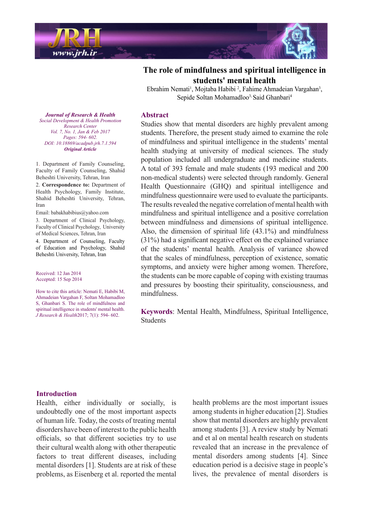

## **The role of mindfulness and spiritual intelligence in** students' mental health

Ebrahim Nemati<sup>1</sup>, Mojtaba Habibi<sup>2</sup>, Fahime Ahmadeian Vargahan<sup>3</sup>, Sepide Soltan Mohamadloo<sup>3,</sup> Said Ghanbari<sup>4</sup>

#### **Abstract**

Studies show that mental disorders are highly prevalent among students. Therefore, the present study aimed to examine the role of mindfulness and spiritual intelligence in the students' mental health studying at university of medical sciences. The study population included all undergraduate and medicine students. A total of 393 female and male students (193 medical and 200 non-medical students) were selected through randomly. General Health Questionnaire (GHQ) and spiritual intelligence and mindfulness questionnaire were used to evaluate the participants. The results revealed the negative correlation of mental health with mindfulness and spiritual intelligence and a positive correlation between mindfulness and dimensions of spiritual intelligence. Also, the dimension of spiritual life  $(43.1\%)$  and mindfulness  $(31%)$  had a significant negative effect on the explained variance of the students' mental health. Analysis of variance showed that the scales of mindfulness, perception of existence, somatic symptoms, and anxiety were higher among women. Therefore, the students can be more capable of coping with existing traumas and pressures by boosting their spirituality, consciousness, and mindfulness.

Keywords: Mental Health, Mindfulness, Spiritual Intelligence. Students

*Journal of Research & Health Promotion Health & Development Social Center Research Vol. 7, No. 1, Jan & Feb 2017 Pages*: 594- 602. *DOI*: 10.18869/ acadpub.jrh.7.1.594 *Article Original*

1. Department of Family Counseling, Faculty of Family Counseling, Shahid Beheshti University, Tehran, Iran 2. Correspondence to: Department of Health Psychology, Family Institute, Shahid Beheshti University, Tehran, Iran

Email: babakhabibius@yahoo.com

3. Department of Clinical Psychology, Faculty of Clinical Psychology, University of Medical Sciences, Tehran, Iran 4. Department of Counseling, Faculty of Education and Psychology, Shahid Beheshti University, Tehran, Iran

Received: 12 Jan 2014 Accepted: 15 Sep 2014

How to cite this article: Nemati E. Habibi M. Ahmadeian Vargahan F, Soltan Mohamadloo S. Ghanbari S. The role of mindfulness and spiritual intelligence in students' mental health.  $\overline{J}$  Research & Health 2017; 7(1): 594- 602.

### **Introduction**

Health, either individually or socially, is undoubtedly one of the most important aspects of human life. Today, the costs of treating mental disorders have been of interest to the public health officials, so that different societies try to use their cultural wealth along with other therapeutic factors to treat different diseases, including mental disorders [1]. Students are at risk of these problems, as Eisenberg et al. reported the mental

health problems are the most important issues among students in higher education [2]. Studies show that mental disorders are highly prevalent among students [3]. A review study by Nemati and et al on mental health research on students revealed that an increase in the prevalence of mental disorders among students [4]. Since education period is a decisive stage in people's lives, the prevalence of mental disorders is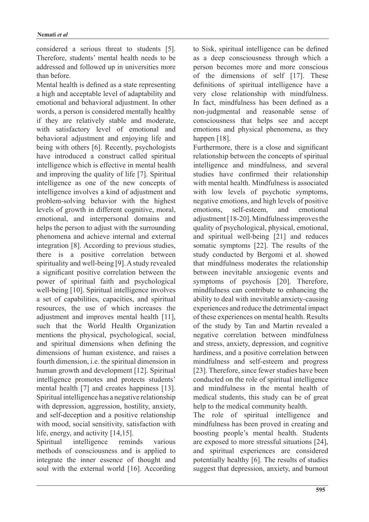considered a serious threat to students [5]. Therefore, students' mental health needs to be addressed and followed up in universities more than before.

Mental health is defined as a state representing a high and acceptable level of adaptability and emotional and behavioral adjustment. In other words, a person is considered mentally healthy if they are relatively stable and moderate, with satisfactory level of emotional and behavioral adjustment and enjoying life and being with others [6]. Recently, psychologists have introduced a construct called spiritual intelligence which is effective in mental health and improving the quality of life [7]. Spiritual intelligence as one of the new concepts of intelligence involves a kind of adjustment and problem-solving behavior with the highest levels of growth in different cognitive, moral, emotional, and interpersonal domains and helps the person to adjust with the surrounding phenomena and achieve internal and external  $integration [8]$ . According to previous studies, there is a positive correlation between spirituality and well-being [9]. A study revealed a significant positive correlation between the power of spiritual faith and psychological well-being  $[10]$ . Spiritual intelligence involves a set of capabilities, capacities, and spiritual resources, the use of which increases the adjustment and improves mental health  $[11]$ , such that the World Health Organization mentions the physical, psychological, social, and spiritual dimensions when defining the dimensions of human existence, and raises a fourth dimension, i.e. the spiritual dimension in human growth and development [12]. Spiritual intelligence promotes and protects students' mental health  $[7]$  and creates happiness  $[13]$ . Spiritual intelligence has a negative relationship with depression, aggression, hostility, anxiety, and self-deception and a positive relationship with mood, social sensitivity, satisfaction with life, energy, and activity  $[14, 15]$ .

Spiritual intelligence reminds various methods of consciousness and is applied to integrate the inner essence of thought and soul with the external world [16]. According to Sisk, spiritual intelligence can be defined as a deep consciousness through which a person becomes more and more conscious of the dimensions of self  $[17]$ . These definitions of spiritual intelligence have a very close relationship with mindfulness. In fact, mindfulness has been defined as a non-judgmental and reasonable sense of consciousness that helps see and accept emotions and physical phenomena, as they happen  $[18]$ .

Furthermore, there is a close and significant relationship between the concepts of spiritual intelligence and mindfulness, and several studies have confirmed their relationship with mental health Mindfulness is associated with low levels of psychotic symptoms, negative emotions, and high levels of positive emotions, self-esteem, and emotional adjustment  $[18-20]$ . Mindfulness improves the quality of psychological, physical, emotional, and spiritual well-being  $[21]$  and reduces somatic symptoms  $[22]$ . The results of the study conducted by Bergomi et al. showed that mindfulness moderates the relationship between inevitable anxiogenic events and symptoms of psychosis [20]. Therefore, mindfulness can contribute to enhancing the ability to deal with inevitable anxiety-causing experiences and reduce the detrimental impact of these experiences on mental health. Results of the study by Tan and Martin revealed a negative correlation between mindfulness and stress, anxiety, depression, and cognitive hardiness, and a positive correlation between mindfulness and self-esteem and progress [23]. Therefore, since fewer studies have been conducted on the role of spiritual intelligence and mindfulness in the mental health of medical students, this study can be of great help to the medical community health.

The role of spiritual intelligence and mindfulness has been proved in creating and boosting people's mental health. Students are exposed to more stressful situations [24]. and spiritual experiences are considered potentially healthy  $[6]$ . The results of studies suggest that depression, anxiety, and burnout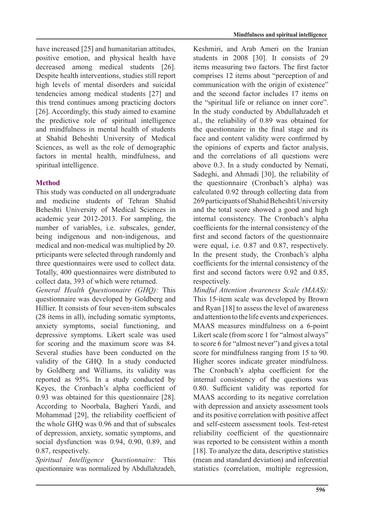have increased  $[25]$  and humanitarian attitudes, positive emotion, and physical health have decreased among medical students [26]. Despite health interventions, studies still report high levels of mental disorders and suicidal tendencies among medical students [27] and this trend continues among practicing doctors [26]. Accordingly, this study aimed to examine the predictive role of spiritual intelligence and mindfulness in mental health of students at Shahid Beheshti University of Medical Sciences, as well as the role of demographic factors in mental health, mindfulness, and spiritual intelligence.

# **Method**

This study was conducted on all undergraduate and medicine students of Tehran Shahid Beheshti University of Medical Sciences in academic year  $2012-2013$ . For sampling, the number of variables, i.e. subscales, gender, being indigenous and non-indigenous, and medical and non-medical was multiplied by 20. prticipants were selected through randomly and three questionnaires were used to collect data. Totally, 400 questionnaires were distributed to collect data, 393 of which were returned.

*General Health Questionnaire (GHQ):* This questionnaire was developed by Goldberg and Hillier. It consists of four seven-item subscales  $(28$  items in all), including somatic symptoms, anxiety symptoms, social functioning, and depressive symptoms. Likert scale was used for scoring and the maximum score was 84. Several studies have been conducted on the validity of the GHQ. In a study conducted by Goldberg and Williams, its validity was reported as  $95\%$ . In a study conducted by Keyes, the Cronbach's alpha coefficient of  $0.93$  was obtained for this questionnaire  $[28]$ . According to Noorbala, Bagheri Yazdi, and Mohammad [29], the reliability coefficient of the whole GHO was 0.96 and that of subscales of depression, anxiety, somatic symptoms, and social dysfunction was  $0.94$ ,  $0.90$ ,  $0.89$ , and 0.87, respectively.

Spiritual Intelligence Ouestionnaire: This questionnaire was normalized by Abdullahzadeh, Keshmiri, and Arab Ameri on the Iranian students in  $2008$  [30]. It consists of 29 items measuring two factors. The first factor comprises 12 items about "perception of and communication with the origin of existence" and the second factor includes 17 items on the "spiritual life or reliance on inner core". In the study conducted by Abdullahzadeh et al., the reliability of 0.89 was obtained for the questionnaire in the final stage and its face and content validity were confirmed by the opinions of experts and factor analysis, and the correlations of all questions were above 0.3. In a study conducted by Nemati, Sadeghi, and Ahmadi [30], the reliability of the questionnaire (Cronbach's alpha) was calculated 0.92 through collecting data from 269 participants of Shahid Beheshti University and the total score showed a good and high internal consistency. The Cronbach's alpha coefficients for the internal consistency of the first and second factors of the questionnaire were equal, i.e.  $0.87$  and  $0.87$ , respectively. In the present study, the Cronbach's alpha coefficients for the internal consistency of the first and second factors were  $0.92$  and  $0.85$ , respectively.

*Mindful Attention Awareness Scale (MAAS):* This 15-item scale was developed by Brown and Ryan  $[18]$  to assess the level of awareness and attention to the life events and experiences. MAAS measures mindfulness on a 6-point Likert scale (from score 1 for "almost always" to score 6 for "almost never") and gives a total score for mindfulness ranging from 15 to 90. Higher scores indicate greater mindfulness. The Cronbach's alpha coefficient for the internal consistency of the questions was 0.80. Sufficient validity was reported for MAAS according to its negative correlation with depression and anxiety assessment tools and its positive correlation with positive affect and self-esteem assessment tools. Test-retest reliability coefficient of the questionnaire was reported to be consistent within a month [18]. To analyze the data, descriptive statistics (mean and standard deviation) and inferential statistics (correlation, multiple regression,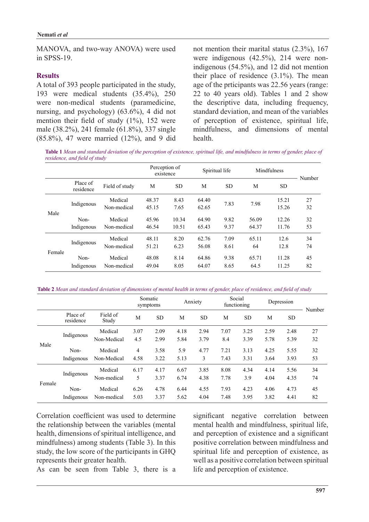MANOVA, and two-way ANOVA) were used in SPSS-19.

#### **Results**

A total of 393 people participated in the study, 193 were medical students  $(35.4\%)$ , 250 were non-medical students (paramedicine, nursing, and psychology)  $(63.6\%)$ , 4 did not mention their field of study  $(1\%)$ , 152 were male (38.2%), 241 female (61.8%), 337 single  $(85.8\%)$ , 47 were married  $(12\%)$ , and 9 did not mention their marital status  $(2.3\%)$ , 167 indigenous  $(54.5\%)$ , and 12 did not mention were indigenous  $(42.5\%)$ , 214 were nontheir place of residence  $(3.1\%)$ . The mean age of the prticipants was  $22.56$  years (range: 22 to 40 years old). Tables 1 and 2 show the descriptive data, including frequency, standard deviation, and mean of the variables of perception of existence, spiritual life, mindfulness, and dimensions of mental health.

Table 1 Mean and standard deviation of the perception of existence, spiritual life, and mindfulness in terms of gender, place of *residence, and field of study* 

|        |                       |                | Perception of<br>existence |           | Spiritual life |           | Mindfulness |           | Number |
|--------|-----------------------|----------------|----------------------------|-----------|----------------|-----------|-------------|-----------|--------|
|        | Place of<br>residence | Field of study | M                          | <b>SD</b> | M              | <b>SD</b> | M           | <b>SD</b> |        |
| Male   | Indigenous            | Medical        | 48.37                      | 8.43      | 64.40          |           |             | 15.21     | 27     |
|        |                       | Non-medical    | 45.15                      | 7.65      | 62.65          | 7.83      | 7.98        | 15.26     | 32     |
|        | Non-                  | Medical        | 45.96                      | 10.34     | 64.90          | 9.82      | 56.09       | 12.26     | 32     |
|        | Indigenous            | Non-medical    | 46.54                      | 10.51     | 65.43          | 9.37      | 64.37       | 11.76     | 53     |
| Female | Indigenous            | Medical        | 48.11                      | 8.20      | 62.76          | 7.09      | 65.11       | 12.6      | 34     |
|        |                       | Non-medical    | 51.21                      | 6.23      | 56.08          | 8.61      | 64          | 12.8      | 74     |
|        | Non-                  | Medical        | 48.08                      | 8.14      | 64.86          | 9.38      | 65.71       | 11.28     | 45     |
|        | Indigenous            | Non-medical    | 49.04                      | 8.05      | 64.07          | 8.65      | 64.5        | 11.25     | 82     |

Table 2 Mean and standard deviation of dimensions of mental health in terms of gender, place of residence, and field of study

|        |                       |                   | Somatic | symptoms  |      | Anxiety   | Social | functioning | Depression |           | Number |
|--------|-----------------------|-------------------|---------|-----------|------|-----------|--------|-------------|------------|-----------|--------|
|        | Place of<br>residence | Field of<br>Study | М       | <b>SD</b> | M    | <b>SD</b> | M      | <b>SD</b>   | M          | <b>SD</b> |        |
| Male   | Indigenous            | Medical           | 3.07    | 2.09      | 4.18 | 2.94      | 7.07   | 3.25        | 2.59       | 2.48      | 27     |
|        |                       | Non-Medical       | 4.5     | 2.99      | 5.84 | 3.79      | 8.4    | 3.39        | 5.78       | 5.39      | 32     |
|        | Non-                  | Medical           | 4       | 3.58      | 5.9  | 4.77      | 7.21   | 3.13        | 4.25       | 5.55      | 32     |
|        | Indigenous            | Non-Medical       | 4.58    | 3.22      | 5.13 | 3         | 7.43   | 3.31        | 3.64       | 3.93      | 53     |
| Female | Indigenous            | Medical           | 6.17    | 4.17      | 6.67 | 3.85      | 8.08   | 4.34        | 4.14       | 5.56      | 34     |
|        |                       | Non-medical       | 5       | 3.37      | 6.74 | 4.38      | 7.78   | 3.9         | 4.04       | 4.35      | 74     |
|        | Non-                  | Medical           | 6.26    | 4.78      | 6.44 | 4.55      | 7.93   | 4.23        | 4.06       | 4.73      | 45     |
|        | Indigenous            | Non-medical       | 5.03    | 3.37      | 5.62 | 4.04      | 7.48   | 3.95        | 3.82       | 4.41      | 82     |

Correlation coefficient was used to determine the relationship between the variables (mental health, dimensions of spiritual intelligence, and mindfulness) among students (Table 3). In this study, the low score of the participants in GHO represents their greater health.

As can be seen from Table 3, there is a

significant negative correlation between mental health and mindfulness, spiritual life, and perception of existence and a significant positive correlation between mindfulness and spiritual life and perception of existence, as well as a positive correlation between spiritual life and perception of existence.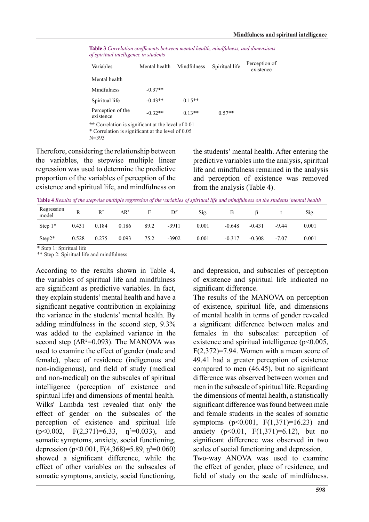| Variables                      | Mental health | Mindfulness | Spiritual life | Perception of<br>existence |  |
|--------------------------------|---------------|-------------|----------------|----------------------------|--|
| Mental health                  |               |             |                |                            |  |
| Mindfulness                    | $-0.37**$     |             |                |                            |  |
| Spiritual life                 | $-0.43**$     | $0.15**$    |                |                            |  |
| Perception of the<br>existence | $-0.32**$     | $0.13**$    | $0.57**$       |                            |  |

**Table 3** Correlation coefficients between mental health, mindfulness, and dimensions  $of$  spiritual intelligence in students

\*\* Correlation is significant at the level of 0.01

 $*$  Correlation is significant at the level of 0.05

 $N = 393$ 

Therefore, considering the relationship between the variables, the stepwise multiple linear regression was used to determine the predictive proportion of the variables of perception of the existence and spiritual life, and mindfulness on the students' mental health. After entering the predictive variables into the analysis, spiritual life and mindfulness remained in the analysis and perception of existence was removed from the analysis  $(Table 4)$ .

Table 4 Results of the stepwise multiple regression of the variables of spiritual life and mindfulness on the students' mental health

| Regression<br>model | R     | $R^2$ | $\mathsf{AR}^2$ |      | Df      | Sig.  |          |          |         | Sig.  |
|---------------------|-------|-------|-----------------|------|---------|-------|----------|----------|---------|-------|
| Step $1*$           | 0.431 | 0.184 | 0.186           | 89.2 | $-3911$ | 0.001 | $-0.648$ | $-0.431$ | $-9.44$ | 0.001 |
| $Step 2*$           | 0.528 | 0.275 | 0.093           | 75.2 | $-3902$ | 0.001 | $-0.317$ | $-0.308$ | $-7.07$ | 0.001 |

\* Step 1: Spiritual life

\*\* Step 2: Spiritual life and mindfulness

According to the results shown in Table 4, the variables of spiritual life and mindfulness are significant as predictive variables. In fact, they explain students' mental health and have a significant negative contribution in explaining the variance in the students' mental health. By adding mindfulness in the second step,  $9.3\%$ was added to the explained variance in the second step ( $\Delta R^2$ =0.093). The MANOVA was used to examine the effect of gender (male and female), place of residence (indigenous and non-indigenous), and field of study (medical and non-medical) on the subscales of spiritual intelligence (perception of existence and spiritual life) and dimensions of mental health. Wilks' Lambda test revealed that only the effect of gender on the subscales of the perception of existence and spiritual life  $(p<0.002, F(2,371)=6.33, p<sup>2</sup>=0.033), and$ somatic symptoms, anxiety, social functioning, depression (p<0.001, F(4,368)=5.89,  $p^2$ =0.060) showed a significant difference, while the effect of other variables on the subscales of somatic symptoms, anxiety, social functioning,

and depression, and subscales of perception of existence and spiritual life indicated no significant difference.

The results of the MANOVA on perception of existence, spiritual life, and dimensions of mental health in terms of gender revealed a significant difference between males and females in the subscales: perception of existence and spiritual intelligence  $(p<0.005)$ ,  $F(2,372)=7.94$ . Women with a mean score of 49.41 had a greater perception of existence compared to men  $(46.45)$ , but no significant difference was observed between women and men in the subscale of spiritual life. Regarding the dimensions of mental health, a statistically significant difference was found between male and female students in the scales of somatic symptoms  $(p<0.001, F(1,371)=16.23)$  and anxiety  $(p<0.01, F(1,371)=6.12)$ , but no significant difference was observed in two scales of social functioning and depression. Two-way ANOVA was used to examine the effect of gender, place of residence, and field of study on the scale of mindfulness.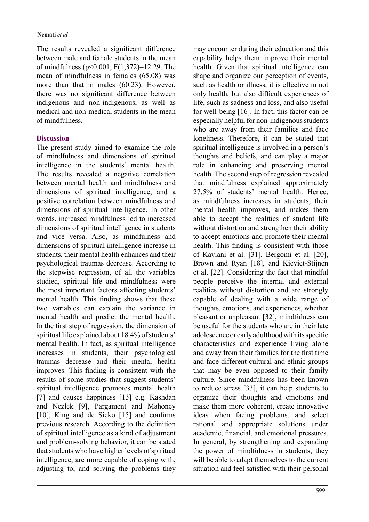The results revealed a significant difference between male and female students in the mean of mindfulness ( $p \le 0.001$ ,  $F(1,372)=12.29$ . The mean of mindfulness in females  $(65.08)$  was more than that in males  $(60.23)$ . However, there was no significant difference between indigenous and non-indigenous, as well as medical and non-medical students in the mean of mindfulness

## **Discussion**

The present study aimed to examine the role of mindfulness and dimensions of spiritual intelligence in the students' mental health. The results revealed a negative correlation between mental health and mindfulness and dimensions of spiritual intelligence, and a positive correlation between mindfulness and dimensions of spiritual intelligence. In other words, increased mindfulness led to increased dimensions of spiritual intelligence in students and vice versa. Also, as mindfulness and dimensions of spiritual intelligence increase in students, their mental health enhances and their psychological traumas decrease. According to the stepwise regression, of all the variables studied, spiritual life and mindfulness were the most important factors affecting students' mental health. This finding shows that these two variables can explain the variance in mental health and predict the mental health. In the first step of regression, the dimension of spiritual life explained about 18.4% of students' mental health. In fact, as spiritual intelligence increases in students, their psychological traumas decrease and their mental health improves. This finding is consistent with the results of some studies that suggest students' spiritual intelligence promotes mental health [7] and causes happiness  $[13]$  e.g. Kashdan and Nezlek [9], Pargament and Mahoney [10], King and de Sicko  $[15]$  and confirms previous research. According to the definition of spiritual intelligence as a kind of adjustment and problem-solving behavior, it can be stated that students who have higher levels of spiritual intelligence, are more capable of coping with, adjusting to, and solving the problems they may encounter during their education and this capability helps them improve their mental health. Given that spiritual intelligence can shape and organize our perception of events, such as health or illness, it is effective in not only health, but also difficult experiences of life, such as sadness and loss, and also useful for well-being  $[16]$ . In fact, this factor can be especially helpful for non-indigenous students who are away from their families and face loneliness. Therefore, it can be stated that spiritual intelligence is involved in a person's thoughts and beliefs, and can play a major role in enhancing and preserving mental health. The second step of regression revealed that mindfulness explained approximately 27.5% of students' mental health. Hence, as mindfulness increases in students, their mental health improves, and makes them able to accept the realities of student life without distortion and strengthen their ability to accept emotions and promote their mental health. This finding is consistent with those of Kaviani et al. [31], Bergomi et al. [20], Brown and Ryan [18], and Kieviet-Stijnen et al. [22]. Considering the fact that mindful people perceive the internal and external realities without distortion and are strongly capable of dealing with a wide range of thoughts, emotions, and experiences, whether pleasant or unpleasant [32], mindfulness can be useful for the students who are in their late adolescence or early adulthood with its specific characteristics and experience living alone and away from their families for the first time and face different cultural and ethnic groups that may be even opposed to their family culture. Since mindfulness has been known to reduce stress  $[33]$ , it can help students to organize their thoughts and emotions and make them more coherent, create innovative ideas when facing problems, and select rational and appropriate solutions under academic, financial, and emotional pressures. In general, by strengthening and expanding the power of mindfulness in students, they will be able to adapt themselves to the current situation and feel satisfied with their personal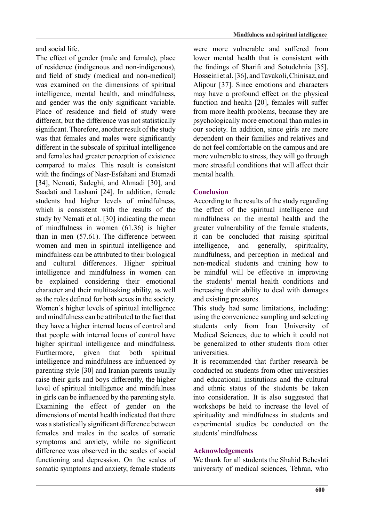and social life.

The effect of gender (male and female), place of residence (indigenous and non-indigenous). and field of study (medical and non-medical) was examined on the dimensions of spiritual intelligence, mental health, and mindfulness, and gender was the only significant variable. Place of residence and field of study were different, but the difference was not statistically significant. Therefore, another result of the study was that females and males were significantly different in the subscale of spiritual intelligence and females had greater perception of existence compared to males. This result is consistent with the findings of Nasr-Esfahani and Etemadi [34], Nemati, Sadeghi, and Ahmadi [30], and Saadati and Lashani [24]. In addition, female students had higher levels of mindfulness, which is consistent with the results of the study by Nemati et al. [30] indicating the mean of mindfulness in women  $(61.36)$  is higher than in men  $(57.61)$ . The difference between women and men in spiritual intelligence and mindfulness can be attributed to their biological and cultural differences. Higher spiritual intelligence and mindfulness in women can be explained considering their emotional character and their multitasking ability, as well as the roles defined for both sexes in the society. Women's higher levels of spiritual intelligence and mindfulness can be attributed to the fact that they have a higher internal locus of control and that people with internal locus of control have higher spiritual intelligence and mindfulness. Furthermore, given that both spiritual intelligence and mindfulness are influenced by parenting style [30] and Iranian parents usually raise their girls and boys differently, the higher level of spiritual intelligence and mindfulness in girls can be influenced by the parenting style. Examining the effect of gender on the dimensions of mental health indicated that there was a statistically significant difference between females and males in the scales of somatic symptoms and anxiety, while no significant difference was observed in the scales of social functioning and depression. On the scales of somatic symptoms and anxiety, female students

were more vulnerable and suffered from lower mental health that is consistent with the findings of Sharifi and Sotudehnia [35], Hosseini et al. [36], and Tavakoli, Chinisaz, and Alipour [37]. Since emotions and characters may have a profound effect on the physical function and health [20], females will suffer from more health problems, because they are psychologically more emotional than males in our society. In addition, since girls are more dependent on their families and relatives and do not feel comfortable on the campus and are more vulnerable to stress, they will go through more stressful conditions that will affect their mental health

## **Conclusion**

According to the results of the study regarding the effect of the spiritual intelligence and mindfulness on the mental health and the greater vulnerability of the female students. it can be concluded that raising spiritual intelligence, and generally, spirituality, mindfulness, and perception in medical and non-medical students and training how to be mindful will be effective in improving the students' mental health conditions and increasing their ability to deal with damages and existing pressures.

This study had some limitations, including: using the convenience sampling and selecting students only from Iran University of Medical Sciences, due to which it could not be generalized to other students from other .universities

It is recommended that further research be conducted on students from other universities and educational institutions and the cultural and ethnic status of the students be taken into consideration. It is also suggested that workshops be held to increase the level of spirituality and mindfulness in students and experimental studies be conducted on the students' mindfulness.

## **Acknowledgements**

We thank for all students the Shahid Beheshti university of medical sciences, Tehran, who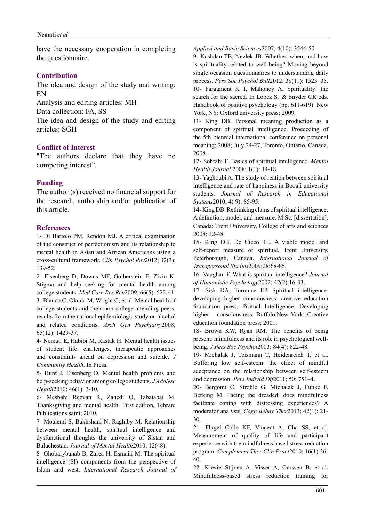have the necessary cooperation in completing the questionnaire.

## **Contribution**

The idea and design of the study and writing: EN

Analysis and editing articles: MH

Data collection: FA, SS

The idea and design of the study and editing articles: SGH

## **Conflict of Interest**

"The authors declare that they have no competing interest".

## **Funding**

The author  $(s)$  received no financial support for the research, authorship and/or publication of this article.

### **References**

1- Di Bartolo PM, Rendón MJ. A critical examination of the construct of perfectionism and its relationship to mental health in Asian and African Americans using a cross-cultural framework. Clin Psychol Rev2012; 32(3): 139-52.

2- Eisenberg D, Downs MF, Golberstein E, Zivin K. Stigma and help seeking for mental health among college students. *Med Care Res Rev* 2009; 66(5): 522-41. 3- Blanco C, Okuda M, Wright C, et al. Mental health of college students and their non-college-attending peers: results from the national epidemiologic study on alcohol and related conditions. Arch Gen Psychiatry 2008; 65(12): 1429-37.

4- Nemati E, Habibi M, Rastak H. Mental health issues of student life: challenges, therapeutic approaches and constraints ahead on depression and suicide. J Community Health. In Press.

5- Hunt J, Eisenberg D. Mental health problems and *help-seeking behavior among college students. J Adolesc* Health<sub>2010</sub>; 46(1): 3-10.

6- Mesbahi Rezvan R, Zahedi O, Tabatabai M. Thanksgiving and mental health. First edition. Tehran: Publications saint; 2010.

7- Moalemi S, Bakhshani N, Raghiby M. Relationship between mental health, spiritual intelligence and dysfunctional thoughts the university of Sistan and Baluchestan. Journal of Mental Health 2010; 12(48).

8- Ghobarybanab B, Zarea H, Esmaili M. The spiritual intelligence (SI) components from the perspective of Islam and west. International Research Journal of Applied and Basic Sciences 2007; 4(10): 3544-50

9- Kashdan TB, Nezlek JB. Whether, when, and how is spirituality related to well-being? Moving beyond single occasion questionnaires to understanding daily process. Pers Soc Psychol Bull2012; 38(11): 1523-35.

10- Pargament K I, Mahoney A. Spirituality: the search for the sacred. In Lopez SJ  $&$  Snyder CR eds. Handbook of positive psychology (pp.  $611-619$ ). New York, NY: Oxford university press: 2009.

11- King DB. Personal meaning production as a component of spiritual intelligence. Proceeding of the 5th biennial international conference on personal meaning; 2008; July 24-27, Toronto, Ontario, Canada, 2008.

12- Sohrabi F. Basics of spiritual intelligence. *Mental* Health Journal 2008; 1(1): 14-18.

13- Yaghoubi A. The study of reation between spiritual intelligence and rate of happiness in Booali university students. Journal of Research in Educational Systems<sub>2010</sub>: 4(9): 85-95.

14-King DB. Rethinking clams of spiritual intelligence: A definition, model, and measure. M.Sc. [dissertation]. Canada: Trent University, College of arts and sciences 2008; 32-48.

15- King DB, De Cicco TL. A viable model and self-report measure of spiritual, Trent University, Peterborough, Canada. International Journal of Transpersonal Studies 2009; 28:68-85.

16- Vaughan F. What is spiritual intelligence? Journal of Humanistic Psychology 2002; 42(2):16-33.

17- Sisk DA, Torrance EP. Spiritual intelligence: developing higher conciousness: creative education foundation press. Piritual Intelligence: Developing higher consciousness. Buffalo .New York: Creative education foundation press; 2001.

18- Brown KW, Ryan RM. The benefits of being being. *J Pers Soc Psychol* 2003: 84(4): 822-48. present: mindfulness and its role in psychological well-

19- Michalak J, Teismann T, Heidenreich T, et al. Buffering low self-esteem: the effect of mindful acceptance on the relationship between self-esteem and depression. Pers *Individ Dif* 2011; 50: 751–4.

20- Bergomi C, Strohle G, Michalak J, Funke F, Berking M. Facing the dreaded: does mindfulness facilitate coping with distressing experiences? A moderator analysis. Cogn Behav Ther 2013; 42(1): 21-30.

21- Flugel Colle KF, Vincent A, Cha SS, et al. Measurement of quality of life and participant experience with the mindfulness based stress reduction program. Complement Ther Clin Pract 2010; 16(1):36-40.

22- Kieviet-Stijnen A, Visser A, Garssen B, et al. Mindfulness-based stress reduction training for